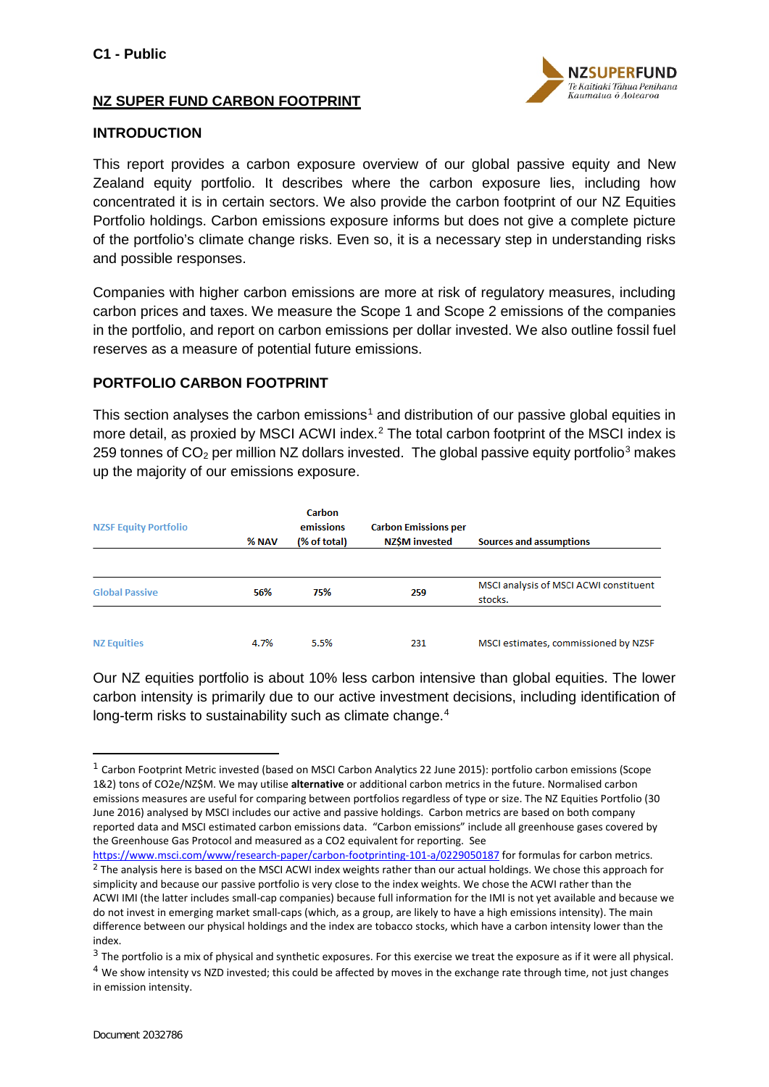

## **NZ SUPER FUND CARBON FOOTPRINT**

### **INTRODUCTION**

This report provides a carbon exposure overview of our global passive equity and New Zealand equity portfolio. It describes where the carbon exposure lies, including how concentrated it is in certain sectors. We also provide the carbon footprint of our NZ Equities Portfolio holdings. Carbon emissions exposure informs but does not give a complete picture of the portfolio's climate change risks. Even so, it is a necessary step in understanding risks and possible responses.

Companies with higher carbon emissions are more at risk of regulatory measures, including carbon prices and taxes. We measure the Scope 1 and Scope 2 emissions of the companies in the portfolio, and report on carbon emissions per dollar invested. We also outline fossil fuel reserves as a measure of potential future emissions.

### **PORTFOLIO CARBON FOOTPRINT**

This section analyses the carbon emissions<sup>[1](#page-0-0)</sup> and distribution of our passive global equities in more detail, as proxied by MSCI ACWI index.<sup>[2](#page-0-1)</sup> The total carbon footprint of the MSCI index is 259 tonnes of  $CO<sub>2</sub>$  per million NZ dollars invested. The global passive equity portfolio<sup>[3](#page-0-2)</sup> makes up the majority of our emissions exposure.

| <b>NZSF Equity Portfolio</b> | % NAV | <b>Carbon</b><br>emissions<br>(% of total) | <b>Carbon Emissions per</b><br>NZŚM invested | <b>Sources and assumptions</b>                    |
|------------------------------|-------|--------------------------------------------|----------------------------------------------|---------------------------------------------------|
| <b>Global Passive</b>        | 56%   | 75%                                        | 259                                          | MSCI analysis of MSCI ACWI constituent<br>stocks. |
| <b>NZ Equities</b>           | 4.7%  | 5.5%                                       | 231                                          | MSCI estimates, commissioned by NZSF              |

Our NZ equities portfolio is about 10% less carbon intensive than global equities. The lower carbon intensity is primarily due to our active investment decisions, including identification of long-term risks to sustainability such as climate change.<sup>[4](#page-0-3)</sup>

-

<span id="page-0-0"></span><sup>&</sup>lt;sup>1</sup> Carbon Footprint Metric invested (based on MSCI Carbon Analytics 22 June 2015): portfolio carbon emissions (Scope 1&2) tons of CO2e/NZ\$M. We may utilise **alternative** or additional carbon metrics in the future. Normalised carbon emissions measures are useful for comparing between portfolios regardless of type or size. The NZ Equities Portfolio (30 June 2016) analysed by MSCI includes our active and passive holdings. Carbon metrics are based on both company reported data and MSCI estimated carbon emissions data. "Carbon emissions" include all greenhouse gases covered by the Greenhouse Gas Protocol and measured as a CO2 equivalent for reporting. See

<span id="page-0-1"></span><https://www.msci.com/www/research-paper/carbon-footprinting-101-a/0229050187> for formulas for carbon metrics. <sup>2</sup> The analysis here is based on the MSCI ACWI index weights rather than our actual holdings. We chose this approach for simplicity and because our passive portfolio is very close to the index weights. We chose the ACWI rather than the ACWI IMI (the latter includes small-cap companies) because full information for the IMI is not yet available and because we do not invest in emerging market small-caps (which, as a group, are likely to have a high emissions intensity). The main difference between our physical holdings and the index are tobacco stocks, which have a carbon intensity lower than the index.

<span id="page-0-2"></span> $3$  The portfolio is a mix of physical and synthetic exposures. For this exercise we treat the exposure as if it were all physical.

<span id="page-0-3"></span><sup>&</sup>lt;sup>4</sup> We show intensity vs NZD invested; this could be affected by moves in the exchange rate through time, not just changes in emission intensity.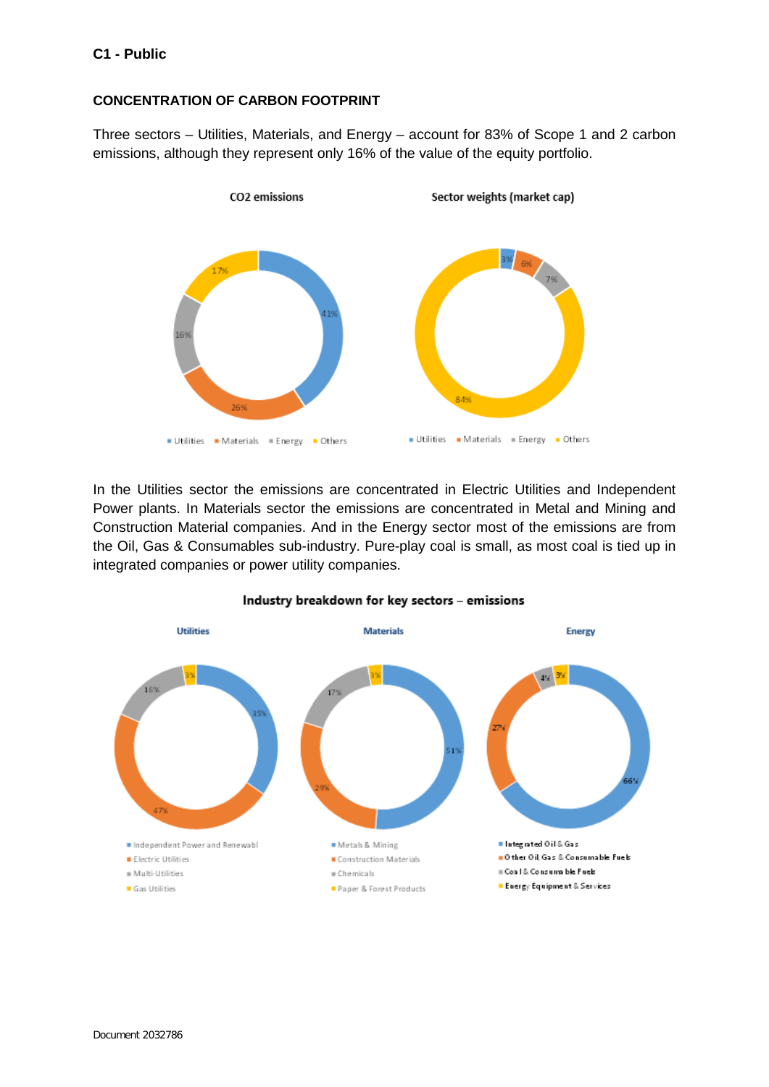## **CONCENTRATION OF CARBON FOOTPRINT**

Three sectors – Utilities, Materials, and Energy – account for 83% of Scope 1 and 2 carbon emissions, although they represent only 16% of the value of the equity portfolio.



In the Utilities sector the emissions are concentrated in Electric Utilities and Independent Power plants. In Materials sector the emissions are concentrated in Metal and Mining and Construction Material companies. And in the Energy sector most of the emissions are from the Oil, Gas & Consumables sub-industry. Pure-play coal is small, as most coal is tied up in integrated companies or power utility companies.



### Industry breakdown for key sectors - emissions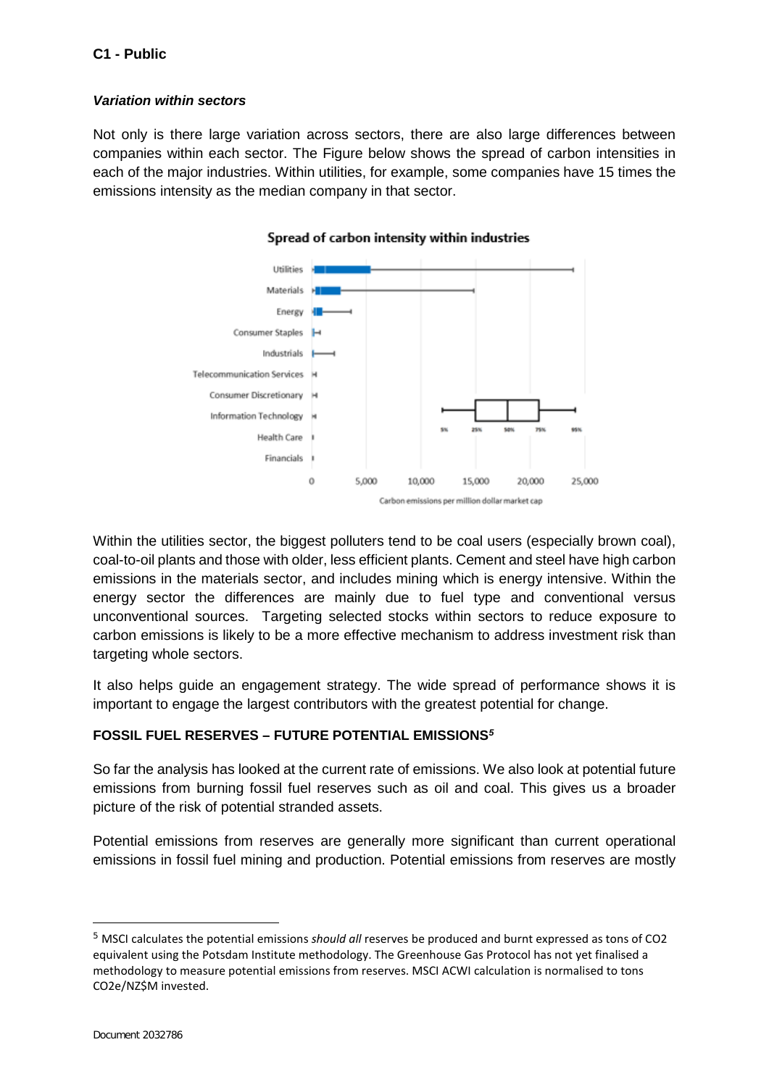### *Variation within sectors*

Not only is there large variation across sectors, there are also large differences between companies within each sector. The Figure below shows the spread of carbon intensities in each of the major industries. Within utilities, for example, some companies have 15 times the emissions intensity as the median company in that sector.



### Spread of carbon intensity within industries

Within the utilities sector, the biggest polluters tend to be coal users (especially brown coal), coal-to-oil plants and those with older, less efficient plants. Cement and steel have high carbon emissions in the materials sector, and includes mining which is energy intensive. Within the energy sector the differences are mainly due to fuel type and conventional versus unconventional sources. Targeting selected stocks within sectors to reduce exposure to carbon emissions is likely to be a more effective mechanism to address investment risk than targeting whole sectors.

It also helps guide an engagement strategy. The wide spread of performance shows it is important to engage the largest contributors with the greatest potential for change.

## **FOSSIL FUEL RESERVES – FUTURE POTENTIAL EMISSIONS***[5](#page-2-0)*

So far the analysis has looked at the current rate of emissions. We also look at potential future emissions from burning fossil fuel reserves such as oil and coal. This gives us a broader picture of the risk of potential stranded assets.

Potential emissions from reserves are generally more significant than current operational emissions in fossil fuel mining and production. Potential emissions from reserves are mostly

-

<span id="page-2-0"></span><sup>5</sup> MSCI calculates the potential emissions *should all* reserves be produced and burnt expressed as tons of CO2 equivalent using the Potsdam Institute methodology. The Greenhouse Gas Protocol has not yet finalised a methodology to measure potential emissions from reserves. MSCI ACWI calculation is normalised to tons CO2e/NZ\$M invested.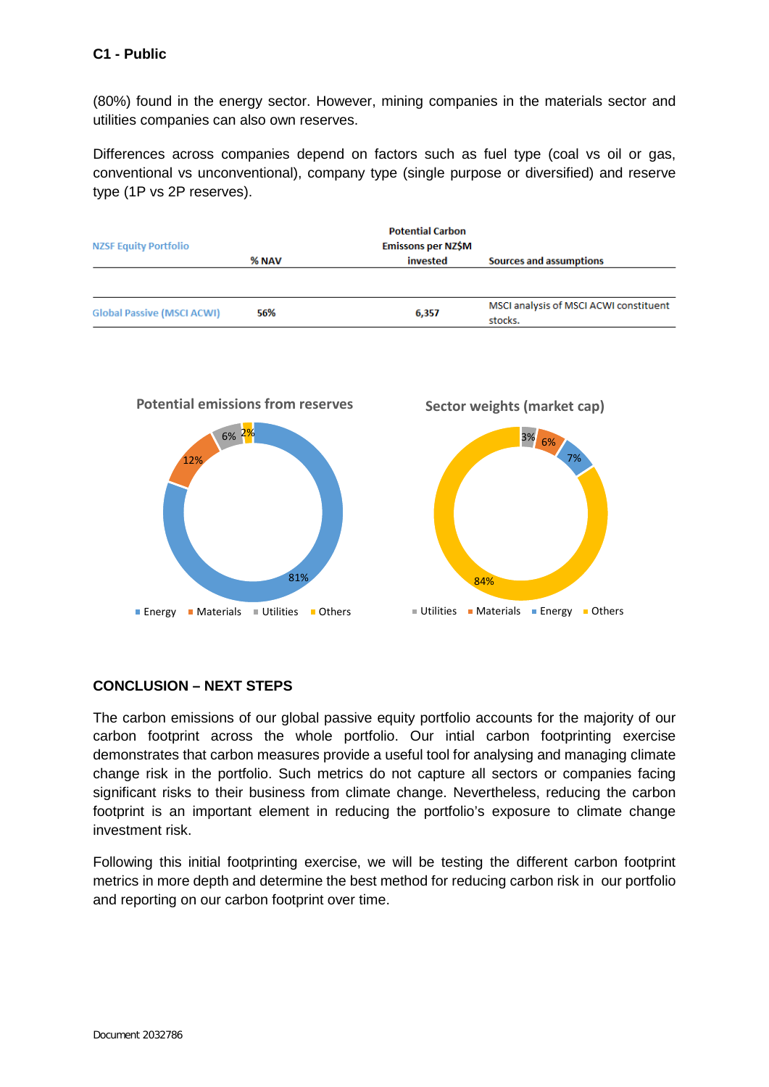# **C1 - Public**

(80%) found in the energy sector. However, mining companies in the materials sector and utilities companies can also own reserves.

Differences across companies depend on factors such as fuel type (coal vs oil or gas, conventional vs unconventional), company type (single purpose or diversified) and reserve type (1P vs 2P reserves).





## **CONCLUSION – NEXT STEPS**

The carbon emissions of our global passive equity portfolio accounts for the majority of our carbon footprint across the whole portfolio. Our intial carbon footprinting exercise demonstrates that carbon measures provide a useful tool for analysing and managing climate change risk in the portfolio. Such metrics do not capture all sectors or companies facing significant risks to their business from climate change. Nevertheless, reducing the carbon footprint is an important element in reducing the portfolio's exposure to climate change investment risk.

Following this initial footprinting exercise, we will be testing the different carbon footprint metrics in more depth and determine the best method for reducing carbon risk in our portfolio and reporting on our carbon footprint over time.